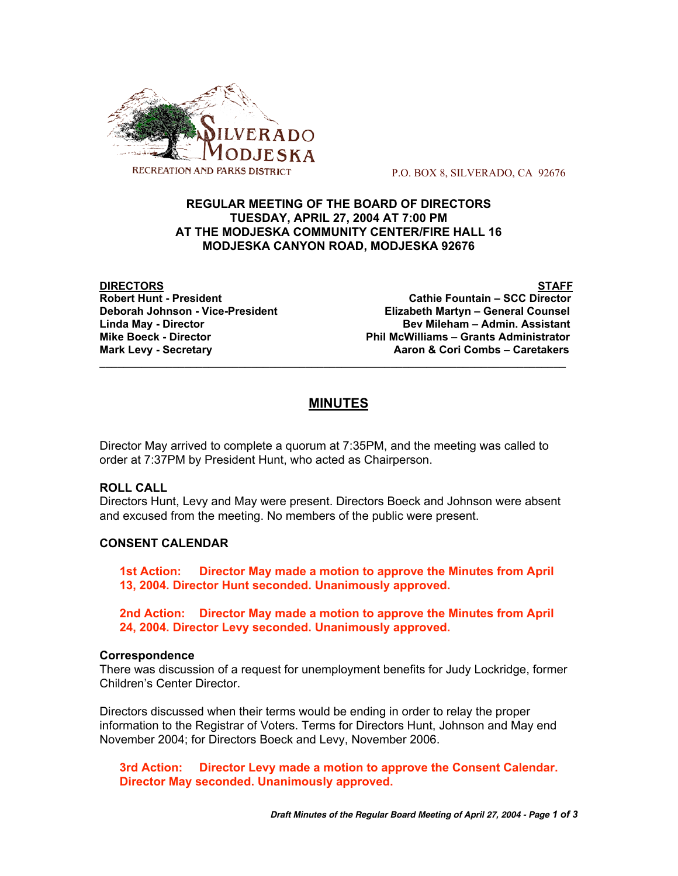

P.O. BOX 8, SILVERADO, CA 92676

## **REGULAR MEETING OF THE BOARD OF DIRECTORS TUESDAY, APRIL 27, 2004 AT 7:00 PM AT THE MODJESKA COMMUNITY CENTER/FIRE HALL 16 MODJESKA CANYON ROAD, MODJESKA 92676**

**DIRECTORS STAFF Cathie Fountain – SCC Director Deborah Johnson - Vice-President Elizabeth Martyn – General Counsel Linda May - Director Bev Mileham – Admin. Assistant Mike Boeck - Director Phil McWilliams – Grants Administrator** Aaron & Cori Combs - Caretakers

# **MINUTES**

**\_\_\_\_\_\_\_\_\_\_\_\_\_\_\_\_\_\_\_\_\_\_\_\_\_\_\_\_\_\_\_\_\_\_\_\_\_\_\_\_\_\_\_\_\_\_\_\_\_\_\_\_\_\_\_\_\_\_\_\_\_\_\_\_\_\_\_\_\_\_\_\_\_\_\_\_\_**

Director May arrived to complete a quorum at 7:35PM, and the meeting was called to order at 7:37PM by President Hunt, who acted as Chairperson.

## **ROLL CALL**

Directors Hunt, Levy and May were present. Directors Boeck and Johnson were absent and excused from the meeting. No members of the public were present.

## **CONSENT CALENDAR**

**1st Action: Director May made a motion to approve the Minutes from April 13, 2004. Director Hunt seconded. Unanimously approved.**

**2nd Action: Director May made a motion to approve the Minutes from April 24, 2004. Director Levy seconded. Unanimously approved.**

#### **Correspondence**

There was discussion of a request for unemployment benefits for Judy Lockridge, former Children's Center Director.

Directors discussed when their terms would be ending in order to relay the proper information to the Registrar of Voters. Terms for Directors Hunt, Johnson and May end November 2004; for Directors Boeck and Levy, November 2006.

**3rd Action: Director Levy made a motion to approve the Consent Calendar. Director May seconded. Unanimously approved.**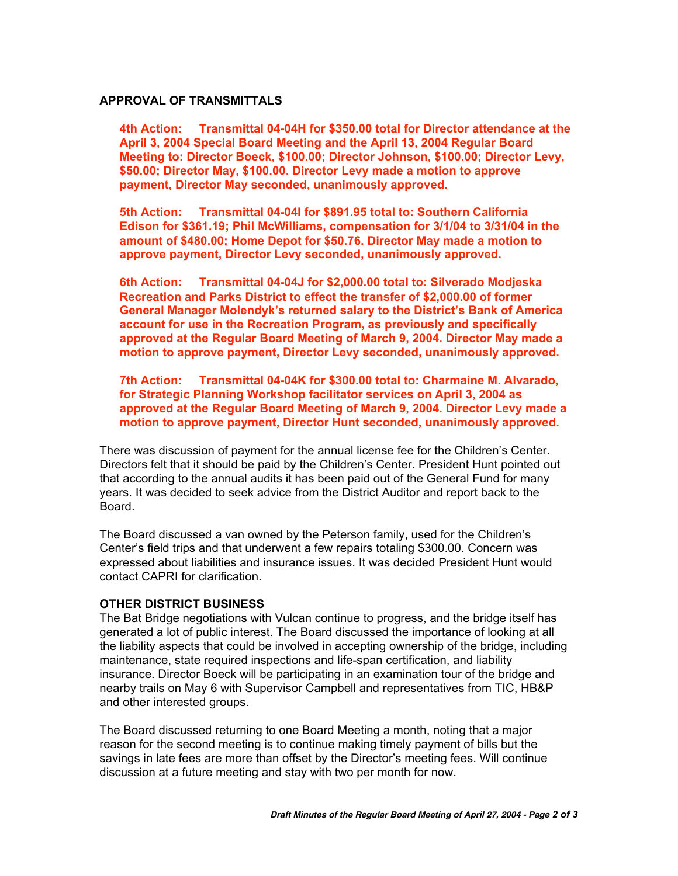## **APPROVAL OF TRANSMITTALS**

**4th Action: Transmittal 04-04H for \$350.00 total for Director attendance at the April 3, 2004 Special Board Meeting and the April 13, 2004 Regular Board Meeting to: Director Boeck, \$100.00; Director Johnson, \$100.00; Director Levy, \$50.00; Director May, \$100.00. Director Levy made a motion to approve payment, Director May seconded, unanimously approved.**

**5th Action: Transmittal 04-04I for \$891.95 total to: Southern California Edison for \$361.19; Phil McWilliams, compensation for 3/1/04 to 3/31/04 in the amount of \$480.00; Home Depot for \$50.76. Director May made a motion to approve payment, Director Levy seconded, unanimously approved.**

**6th Action: Transmittal 04-04J for \$2,000.00 total to: Silverado Modjeska Recreation and Parks District to effect the transfer of \$2,000.00 of former General Manager Molendyk's returned salary to the District's Bank of America account for use in the Recreation Program, as previously and specifically approved at the Regular Board Meeting of March 9, 2004. Director May made a motion to approve payment, Director Levy seconded, unanimously approved.**

**7th Action: Transmittal 04-04K for \$300.00 total to: Charmaine M. Alvarado, for Strategic Planning Workshop facilitator services on April 3, 2004 as approved at the Regular Board Meeting of March 9, 2004. Director Levy made a motion to approve payment, Director Hunt seconded, unanimously approved.**

There was discussion of payment for the annual license fee for the Children's Center. Directors felt that it should be paid by the Children's Center. President Hunt pointed out that according to the annual audits it has been paid out of the General Fund for many years. It was decided to seek advice from the District Auditor and report back to the Board.

The Board discussed a van owned by the Peterson family, used for the Children's Center's field trips and that underwent a few repairs totaling \$300.00. Concern was expressed about liabilities and insurance issues. It was decided President Hunt would contact CAPRI for clarification.

#### **OTHER DISTRICT BUSINESS**

The Bat Bridge negotiations with Vulcan continue to progress, and the bridge itself has generated a lot of public interest. The Board discussed the importance of looking at all the liability aspects that could be involved in accepting ownership of the bridge, including maintenance, state required inspections and life-span certification, and liability insurance. Director Boeck will be participating in an examination tour of the bridge and nearby trails on May 6 with Supervisor Campbell and representatives from TIC, HB&P and other interested groups.

The Board discussed returning to one Board Meeting a month, noting that a major reason for the second meeting is to continue making timely payment of bills but the savings in late fees are more than offset by the Director's meeting fees. Will continue discussion at a future meeting and stay with two per month for now.